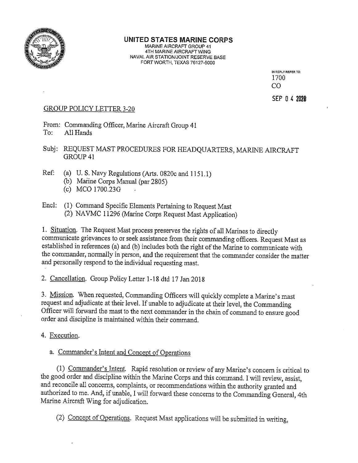

# UNITED STATES MARINE CORPS

MARINE AIRCRAFT GROUP 41<br>4TH MARINE AIRCRAFT WING NAVAL AIR STATION/JOINT RESERVE BASE FORT WORTH, TEXAS 76127-5000

> N REPLY REFER TO: 1700 Co

SEP 04 2020

# GROUP POLICY LETTER 3-20

From: Commanding Officer, Marine Aircraft Group 41 To: All Hands

Subj: REQUEST MAST PROCEDURES FOR HEADQUARTERS, MARINE AIRCRAFT GROUP 41

- Ref: (a) U. S. Navy Regulations (Arts. 0820c and 1151.1)
	- (b) Marine Corps Manual (par 2805)
	- (c) MCO 1700.23G
- End: (1) Command Specific Elements Pertaining to Request Mast (2) NAVMC 11296 (Marine Corps Request Mast Application)

1. Situation, The Request Mast process preserves the rights of all Marines to directly communicate grievances to or seek assistance from their commanding officers. Request Mast as established in references (a) and (b) includes both the right of the Marine to communicate with the commander, normally in person, and the requirement that the commander consider the matter and personally respond to the individual requesting mast.

2. Cancellation. Group Policy Letter 1-18 dtd 17 Jan 2018

3. Mission. When requested, Commanding Officers will quickly complete <sup>a</sup> Marine's mast request and adjudicate at their level. If unable to adjudicate at their level, the Commanding Officer will forward the mast to the next commander in the chain of command to ensure good order and discipline is maintained within their command.

4. Execution.

a. Commander's Intent and Concept of Operations

(1) Commander's Intent. Rapid resolution or review of any Marine's concern is critical to the good order and discipline within the Marine Corps and this command. I will review, assist, and reconcile all concerns, complaints, or recommendations within the authority granted and authorized to me. And, if unable, <sup>I</sup> will forward these concerns to the Commanding General, 4th Marine Aircraft Wing for adjudication.

(2) Concept of Operations. Request Mast applications will be submitted in writing,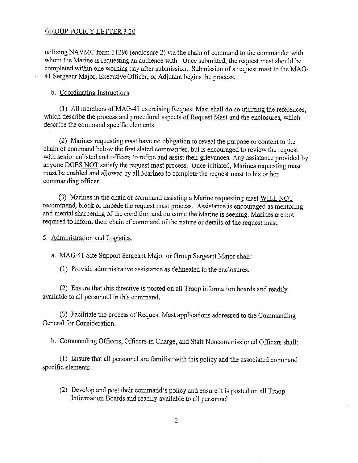## GROUP POLICY LETTER 3-20

utilizing NAVMC form 11296 (enclosure 2) via the chain of command to the commander with whom the Marine is requesting an audience with. Once submitted, the request mast should be completed within one working day after submission. Submission of <sup>a</sup> request mast to the MAG 41 Sergeant Major, Executive Officer, or Adjutant begins the process.

#### b. Coordinating Instructions.

(1) All members ofMAG-41 exercising Request Mast shall do so utilizing the references, which describe the process and procedural aspects of Request Mast and the enclosures, which describe the command specific elements.

(2) Marines requesting mast have no obligation to reveal the purpose or content to the chain of command below the first slated commander, but is encouraged to review the request with senior enlisted and officers to refine and assist their grievances. Any assistance provided by anyone DOES NOT satisfy the request mast process. Once initiated, Marines requesting mast must be enabled and allowed by all Marines to complete the request mast to his or her commanding officer.

(3) Marines in the chain of command assisting <sup>a</sup> Marine requesting mast WILL NOT recommend, block or impede the request mast process. Assistance is encouraged as mentoring and mental sharpening of the condition and outcome the Marine is seeking. Marines are not required to inform their chain of command of the nature or details of the request mast.

5. Administration and Logistics.

a. MAG-41 Site Support Sergeant Major or Group Sergeant Major shall:

(1) Provide administrative assistance as delineated in the enclosures.

(2) Ensure that this directive is posted on all Troop information boards and readily available to all personnel in this command.

(3) Facilitate the process of Request Mast applications addressed to the Commanding General for Consideration.

b. Commanding Officers, Officers in Charge, and Staff Noncommissioned Officers shall:

(1) Ensure that all personnel are familiar with this policy and the associated command specific elements

(2) Develop and post their command's policy and ensure it is posted on all Troop Information Boards and readily available to all personnel.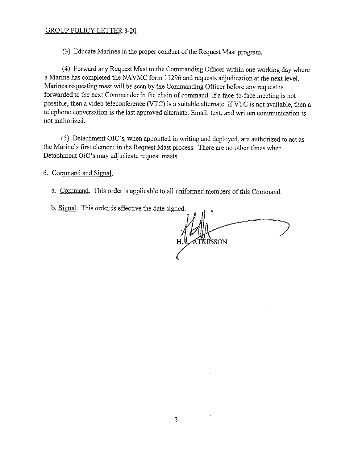### GROUP POLICY LETTER 3-20

(3) Educate Marines in the proper conduct of the Request Mast program.

(4) Forward any Request Mast to the Commanding Officer within one working day where a Marine has completed the NAVMC form 11296 and requests adjudication at the next level. Marines requesting mast will be seen by the Commanding Officer before any request is forwarded to the next Commander in the chain of command. If <sup>a</sup> face-to-face meeting is not possible, then <sup>a</sup> video teleconference (VTC) is <sup>a</sup> suitable alternate. If VTC is not available, then <sup>a</sup> telephone conversation is the last approved alternate. Email, text, and written communication is not authorized.

(5) Detachment OIC's, when appointed in writing and deployed, are authorized to act as the Marine's first element in the Request Mast process. There are no other times when Detachment OIC's may adjudicate request masts.

6. Command and Signal.

- a. Command. This order is applicable to all uniformed members of this Command,
- b. Signal. This order is effective the date signed.

**NSON**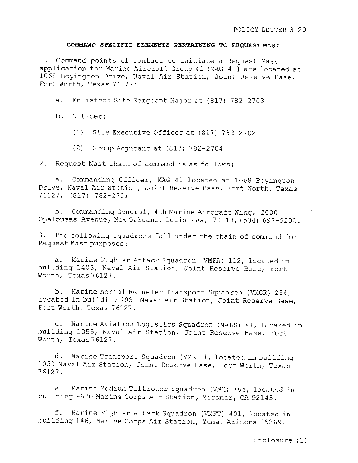#### COMMAND SPECIFIC ELEMENTS PERTAINING TO REQUEST MAST

1. Command points of contact to initiate <sup>a</sup> Request Mast application for Marine Aircraft Group <sup>41</sup> (MAG—41} are located at <sup>1068</sup> Boyington Drive, Naval Air Station, Joint Reserve Base, Fort Worth, Texas 76127:

a. Enlisted: Site Sergeant Major at (817) 782—2703

b. Officer:

(1) Site Executive Officer at (817) 782—2702

(2) Group Adjutant at (817) 782—2704

2. Request Mast chain of command is as follows:

a. Commanding Officer, MAG—41 located at 1068 Boyington Drive, Naval Air Station, Joint Reserve Base, Fort Worth, Texas 76127, (817) 782—2701

b. Commanding General, 4th Marine Aircraft Wing, <sup>2000</sup> Opelousas Avenue, New Orleans, Louisiana, 70114, (504) 697—9202.

3. The following squadrons fall under the chain of command for Request Mast purposes:

a. Marine Fighter Attack Squadron (VMFA) 112, located in building 1403, Naval Air Station, Joint Reserve Base, Fort Worth, Texas76127.

b. Marine Aerial Refueler Transport Squadron (VMGR) 234, located in building <sup>1050</sup> Naval Air Station, Joint Reserve Base, Fort Worth, Texas 76127

c. Marine Aviation Logistics Squadron (MALS) 41, located in building 1055, Naval Air Station, Joint Reserve Base, Fort Worth, Texas76127.

d. Marine Transport Squadron (VMR) 1, located in building <sup>1050</sup> Naval Air Station, Joint Reserve Base, Port Worth, Texas 76127.

e. Marine Medium Tiltrotor Squadron (VMM) 764, located in building <sup>9670</sup> Marine Corps Air Station, Miramar, CA 92145.

f. Marine Fighter Attack Squadron (VMFT) 401, located in building 146, Marine Corps Air Station, Yuma, Arizona 85369.